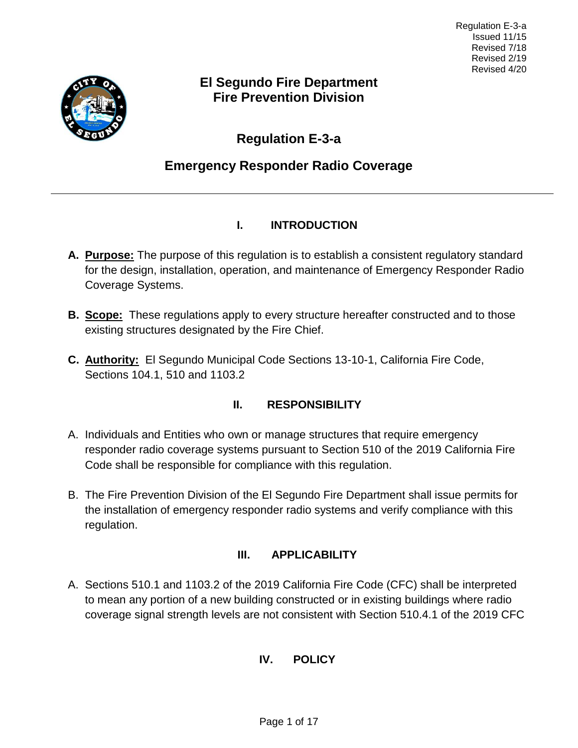

# **El Segundo Fire Department Fire Prevention Division**

# **Regulation E-3-a**

## **Emergency Responder Radio Coverage**

### **I. INTRODUCTION**

- **A. Purpose:** The purpose of this regulation is to establish a consistent regulatory standard for the design, installation, operation, and maintenance of Emergency Responder Radio Coverage Systems.
- **B. Scope:** These regulations apply to every structure hereafter constructed and to those existing structures designated by the Fire Chief.
- **C. Authority:** El Segundo Municipal Code Sections 13-10-1, California Fire Code, Sections 104.1, 510 and 1103.2

### **II. RESPONSIBILITY**

- A. Individuals and Entities who own or manage structures that require emergency responder radio coverage systems pursuant to Section 510 of the 2019 California Fire Code shall be responsible for compliance with this regulation.
- B. The Fire Prevention Division of the El Segundo Fire Department shall issue permits for the installation of emergency responder radio systems and verify compliance with this regulation.

### **III. APPLICABILITY**

A. Sections 510.1 and 1103.2 of the 2019 California Fire Code (CFC) shall be interpreted to mean any portion of a new building constructed or in existing buildings where radio coverage signal strength levels are not consistent with Section 510.4.1 of the 2019 CFC

### **IV. POLICY**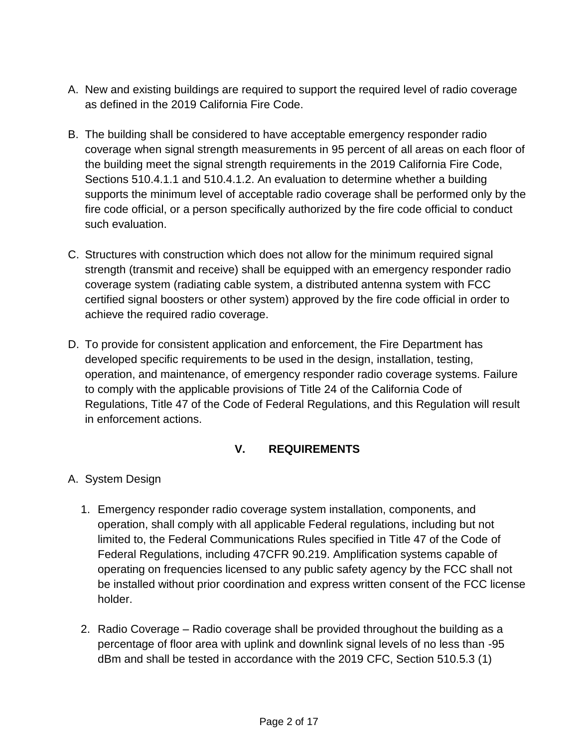- A. New and existing buildings are required to support the required level of radio coverage as defined in the 2019 California Fire Code.
- B. The building shall be considered to have acceptable emergency responder radio coverage when signal strength measurements in 95 percent of all areas on each floor of the building meet the signal strength requirements in the 2019 California Fire Code, Sections 510.4.1.1 and 510.4.1.2. An evaluation to determine whether a building supports the minimum level of acceptable radio coverage shall be performed only by the fire code official, or a person specifically authorized by the fire code official to conduct such evaluation.
- C. Structures with construction which does not allow for the minimum required signal strength (transmit and receive) shall be equipped with an emergency responder radio coverage system (radiating cable system, a distributed antenna system with FCC certified signal boosters or other system) approved by the fire code official in order to achieve the required radio coverage.
- D. To provide for consistent application and enforcement, the Fire Department has developed specific requirements to be used in the design, installation, testing, operation, and maintenance, of emergency responder radio coverage systems. Failure to comply with the applicable provisions of Title 24 of the California Code of Regulations, Title 47 of the Code of Federal Regulations, and this Regulation will result in enforcement actions.

### **V. REQUIREMENTS**

- A. System Design
	- 1. Emergency responder radio coverage system installation, components, and operation, shall comply with all applicable Federal regulations, including but not limited to, the Federal Communications Rules specified in Title 47 of the Code of Federal Regulations, including 47CFR 90.219. Amplification systems capable of operating on frequencies licensed to any public safety agency by the FCC shall not be installed without prior coordination and express written consent of the FCC license holder.
	- 2. Radio Coverage Radio coverage shall be provided throughout the building as a percentage of floor area with uplink and downlink signal levels of no less than -95 dBm and shall be tested in accordance with the 2019 CFC, Section 510.5.3 (1)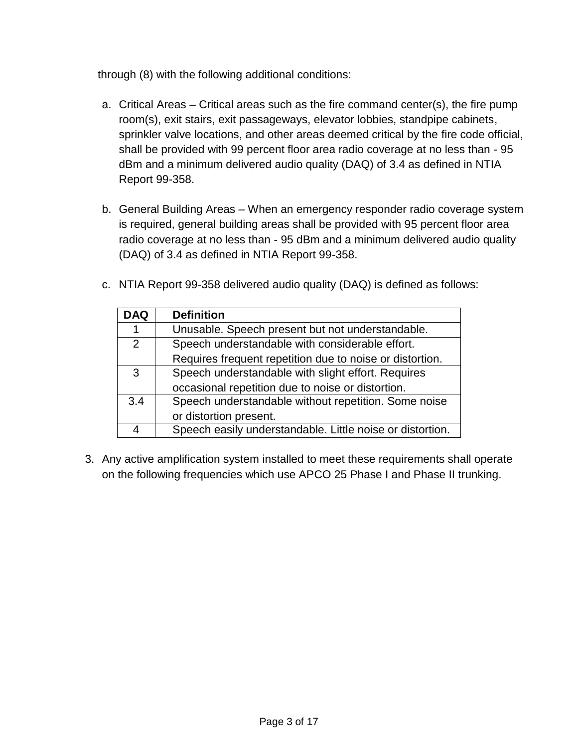through (8) with the following additional conditions:

- a. Critical Areas Critical areas such as the fire command center(s), the fire pump room(s), exit stairs, exit passageways, elevator lobbies, standpipe cabinets, sprinkler valve locations, and other areas deemed critical by the fire code official, shall be provided with 99 percent floor area radio coverage at no less than - 95 dBm and a minimum delivered audio quality (DAQ) of 3.4 as defined in NTIA Report 99-358.
- b. General Building Areas When an emergency responder radio coverage system is required, general building areas shall be provided with 95 percent floor area radio coverage at no less than - 95 dBm and a minimum delivered audio quality (DAQ) of 3.4 as defined in NTIA Report 99-358.
- c. NTIA Report 99-358 delivered audio quality (DAQ) is defined as follows:

| <b>DAQ</b>     | <b>Definition</b>                                         |
|----------------|-----------------------------------------------------------|
|                | Unusable. Speech present but not understandable.          |
| $\overline{2}$ | Speech understandable with considerable effort.           |
|                | Requires frequent repetition due to noise or distortion.  |
| 3              | Speech understandable with slight effort. Requires        |
|                | occasional repetition due to noise or distortion.         |
| 3.4            | Speech understandable without repetition. Some noise      |
|                | or distortion present.                                    |
|                | Speech easily understandable. Little noise or distortion. |

3. Any active amplification system installed to meet these requirements shall operate on the following frequencies which use APCO 25 Phase I and Phase II trunking.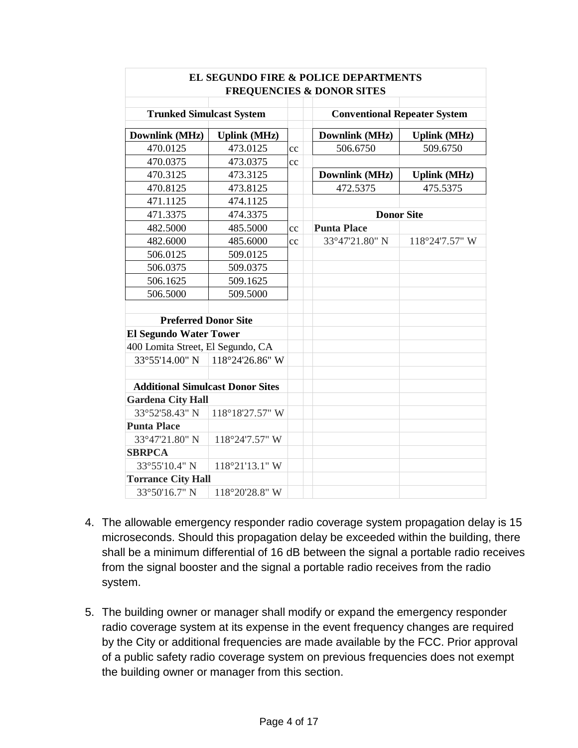| <b>FREQUENCIES &amp; DONOR SITES</b>    |                     |    |                                     |                     |  |  |
|-----------------------------------------|---------------------|----|-------------------------------------|---------------------|--|--|
| <b>Trunked Simulcast System</b>         |                     |    | <b>Conventional Repeater System</b> |                     |  |  |
| <b>Downlink (MHz)</b>                   | <b>Uplink (MHz)</b> |    | <b>Downlink (MHz)</b>               | <b>Uplink (MHz)</b> |  |  |
| 470.0125                                | 473.0125            | cc | 506.6750                            | 509.6750            |  |  |
| 470.0375                                | 473.0375            | cc |                                     |                     |  |  |
| 470.3125                                | 473.3125            |    | Downlink (MHz)                      | <b>Uplink (MHz)</b> |  |  |
| 470.8125                                | 473.8125            |    | 472.5375                            | 475.5375            |  |  |
| 471.1125                                | 474.1125            |    |                                     |                     |  |  |
| 471.3375                                | 474.3375            |    | <b>Donor Site</b>                   |                     |  |  |
| 482.5000                                | 485.5000            | cc | <b>Punta Place</b>                  |                     |  |  |
| 482.6000                                | 485.6000            | cc | 33°47'21.80" N                      | 118°24'7.57" W      |  |  |
| 506.0125                                | 509.0125            |    |                                     |                     |  |  |
| 506.0375                                | 509.0375            |    |                                     |                     |  |  |
| 506.1625                                | 509.1625            |    |                                     |                     |  |  |
| 506.5000                                | 509.5000            |    |                                     |                     |  |  |
|                                         |                     |    |                                     |                     |  |  |
| <b>Preferred Donor Site</b>             |                     |    |                                     |                     |  |  |
| <b>El Segundo Water Tower</b>           |                     |    |                                     |                     |  |  |
| 400 Lomita Street, El Segundo, CA       |                     |    |                                     |                     |  |  |
| 33°55'14.00" N                          | 118°24'26.86" W     |    |                                     |                     |  |  |
|                                         |                     |    |                                     |                     |  |  |
| <b>Additional Simulcast Donor Sites</b> |                     |    |                                     |                     |  |  |
| <b>Gardena City Hall</b>                |                     |    |                                     |                     |  |  |
| 33°52'58.43" N                          | 118°18'27.57" W     |    |                                     |                     |  |  |
| <b>Punta Place</b>                      |                     |    |                                     |                     |  |  |
| 33°47'21.80" N                          | 118°24'7.57" W      |    |                                     |                     |  |  |
| <b>SBRPCA</b>                           |                     |    |                                     |                     |  |  |
| 33°55'10.4" N                           | 118°21'13.1" W      |    |                                     |                     |  |  |
| <b>Torrance City Hall</b>               |                     |    |                                     |                     |  |  |
| 33°50'16.7" N                           | 118°20'28.8" W      |    |                                     |                     |  |  |

#### **EL SEGUNDO FIRE & POLICE DEPARTMENTS FREQUENCIES & DONOR SITES**

- 4. The allowable emergency responder radio coverage system propagation delay is 15 microseconds. Should this propagation delay be exceeded within the building, there shall be a minimum differential of 16 dB between the signal a portable radio receives from the signal booster and the signal a portable radio receives from the radio system.
- 5. The building owner or manager shall modify or expand the emergency responder radio coverage system at its expense in the event frequency changes are required by the City or additional frequencies are made available by the FCC. Prior approval of a public safety radio coverage system on previous frequencies does not exempt the building owner or manager from this section.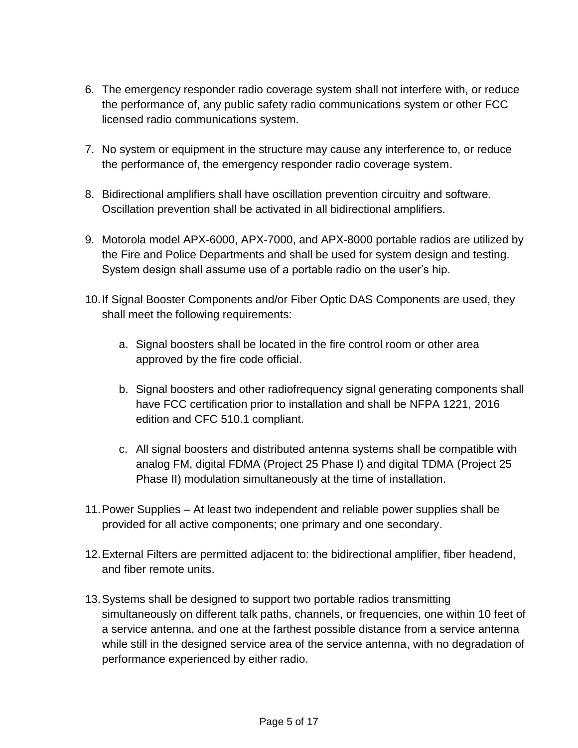- 6. The emergency responder radio coverage system shall not interfere with, or reduce the performance of, any public safety radio communications system or other FCC licensed radio communications system.
- 7. No system or equipment in the structure may cause any interference to, or reduce the performance of, the emergency responder radio coverage system.
- 8. Bidirectional amplifiers shall have oscillation prevention circuitry and software. Oscillation prevention shall be activated in all bidirectional amplifiers.
- 9. Motorola model APX-6000, APX-7000, and APX-8000 portable radios are utilized by the Fire and Police Departments and shall be used for system design and testing. System design shall assume use of a portable radio on the user's hip.
- 10.If Signal Booster Components and/or Fiber Optic DAS Components are used, they shall meet the following requirements:
	- a. Signal boosters shall be located in the fire control room or other area approved by the fire code official.
	- b. Signal boosters and other radiofrequency signal generating components shall have FCC certification prior to installation and shall be NFPA 1221, 2016 edition and CFC 510.1 compliant.
	- c. All signal boosters and distributed antenna systems shall be compatible with analog FM, digital FDMA (Project 25 Phase I) and digital TDMA (Project 25 Phase II) modulation simultaneously at the time of installation.
- 11.Power Supplies At least two independent and reliable power supplies shall be provided for all active components; one primary and one secondary.
- 12.External Filters are permitted adjacent to: the bidirectional amplifier, fiber headend, and fiber remote units.
- 13.Systems shall be designed to support two portable radios transmitting simultaneously on different talk paths, channels, or frequencies, one within 10 feet of a service antenna, and one at the farthest possible distance from a service antenna while still in the designed service area of the service antenna, with no degradation of performance experienced by either radio.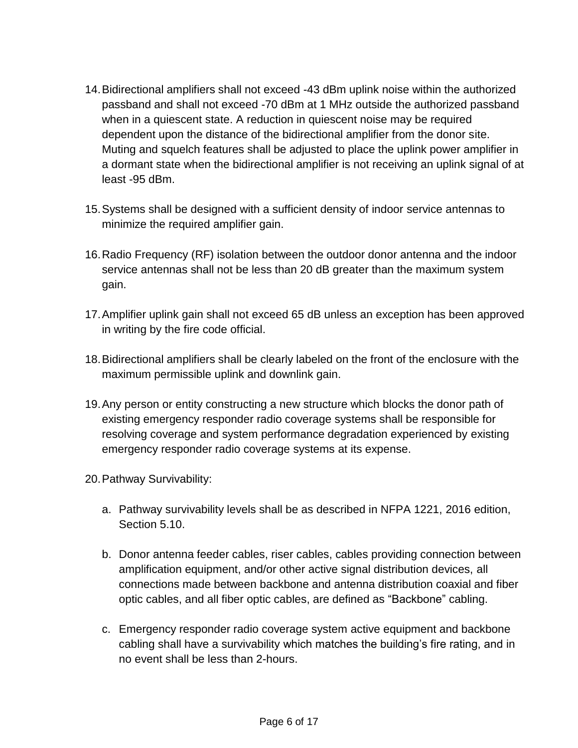- 14.Bidirectional amplifiers shall not exceed -43 dBm uplink noise within the authorized passband and shall not exceed -70 dBm at 1 MHz outside the authorized passband when in a quiescent state. A reduction in quiescent noise may be required dependent upon the distance of the bidirectional amplifier from the donor site. Muting and squelch features shall be adjusted to place the uplink power amplifier in a dormant state when the bidirectional amplifier is not receiving an uplink signal of at least -95 dBm.
- 15.Systems shall be designed with a sufficient density of indoor service antennas to minimize the required amplifier gain.
- 16.Radio Frequency (RF) isolation between the outdoor donor antenna and the indoor service antennas shall not be less than 20 dB greater than the maximum system gain.
- 17.Amplifier uplink gain shall not exceed 65 dB unless an exception has been approved in writing by the fire code official.
- 18.Bidirectional amplifiers shall be clearly labeled on the front of the enclosure with the maximum permissible uplink and downlink gain.
- 19.Any person or entity constructing a new structure which blocks the donor path of existing emergency responder radio coverage systems shall be responsible for resolving coverage and system performance degradation experienced by existing emergency responder radio coverage systems at its expense.
- 20.Pathway Survivability:
	- a. Pathway survivability levels shall be as described in NFPA 1221, 2016 edition, Section 5.10.
	- b. Donor antenna feeder cables, riser cables, cables providing connection between amplification equipment, and/or other active signal distribution devices, all connections made between backbone and antenna distribution coaxial and fiber optic cables, and all fiber optic cables, are defined as "Backbone" cabling.
	- c. Emergency responder radio coverage system active equipment and backbone cabling shall have a survivability which matches the building's fire rating, and in no event shall be less than 2-hours.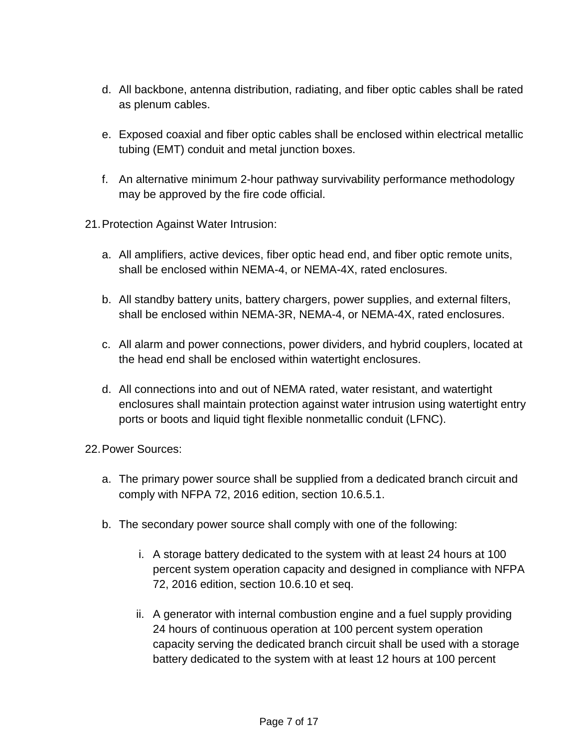- d. All backbone, antenna distribution, radiating, and fiber optic cables shall be rated as plenum cables.
- e. Exposed coaxial and fiber optic cables shall be enclosed within electrical metallic tubing (EMT) conduit and metal junction boxes.
- f. An alternative minimum 2-hour pathway survivability performance methodology may be approved by the fire code official.
- 21.Protection Against Water Intrusion:
	- a. All amplifiers, active devices, fiber optic head end, and fiber optic remote units, shall be enclosed within NEMA-4, or NEMA-4X, rated enclosures.
	- b. All standby battery units, battery chargers, power supplies, and external filters, shall be enclosed within NEMA-3R, NEMA-4, or NEMA-4X, rated enclosures.
	- c. All alarm and power connections, power dividers, and hybrid couplers, located at the head end shall be enclosed within watertight enclosures.
	- d. All connections into and out of NEMA rated, water resistant, and watertight enclosures shall maintain protection against water intrusion using watertight entry ports or boots and liquid tight flexible nonmetallic conduit (LFNC).
- 22.Power Sources:
	- a. The primary power source shall be supplied from a dedicated branch circuit and comply with NFPA 72, 2016 edition, section 10.6.5.1.
	- b. The secondary power source shall comply with one of the following:
		- i. A storage battery dedicated to the system with at least 24 hours at 100 percent system operation capacity and designed in compliance with NFPA 72, 2016 edition, section 10.6.10 et seq.
		- ii. A generator with internal combustion engine and a fuel supply providing 24 hours of continuous operation at 100 percent system operation capacity serving the dedicated branch circuit shall be used with a storage battery dedicated to the system with at least 12 hours at 100 percent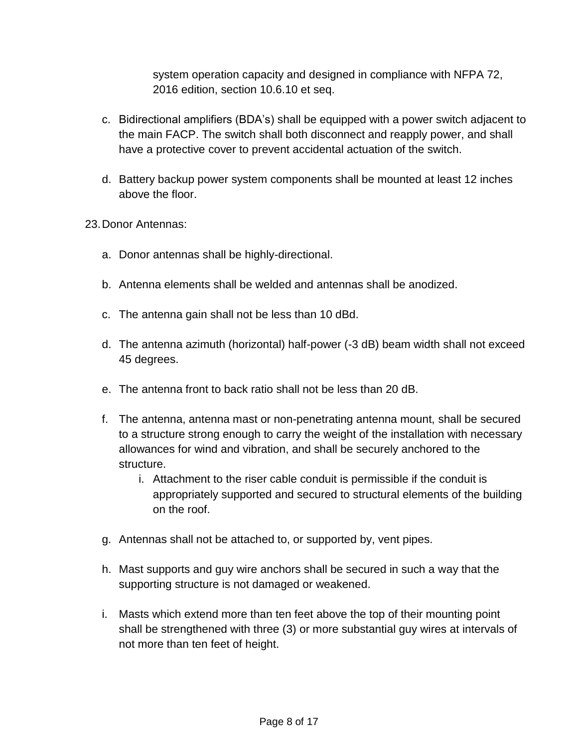system operation capacity and designed in compliance with NFPA 72, 2016 edition, section 10.6.10 et seq.

- c. Bidirectional amplifiers (BDA's) shall be equipped with a power switch adjacent to the main FACP. The switch shall both disconnect and reapply power, and shall have a protective cover to prevent accidental actuation of the switch.
- d. Battery backup power system components shall be mounted at least 12 inches above the floor.
- 23.Donor Antennas:
	- a. Donor antennas shall be highly-directional.
	- b. Antenna elements shall be welded and antennas shall be anodized.
	- c. The antenna gain shall not be less than 10 dBd.
	- d. The antenna azimuth (horizontal) half-power (-3 dB) beam width shall not exceed 45 degrees.
	- e. The antenna front to back ratio shall not be less than 20 dB.
	- f. The antenna, antenna mast or non-penetrating antenna mount, shall be secured to a structure strong enough to carry the weight of the installation with necessary allowances for wind and vibration, and shall be securely anchored to the structure.
		- i. Attachment to the riser cable conduit is permissible if the conduit is appropriately supported and secured to structural elements of the building on the roof.
	- g. Antennas shall not be attached to, or supported by, vent pipes.
	- h. Mast supports and guy wire anchors shall be secured in such a way that the supporting structure is not damaged or weakened.
	- i. Masts which extend more than ten feet above the top of their mounting point shall be strengthened with three (3) or more substantial guy wires at intervals of not more than ten feet of height.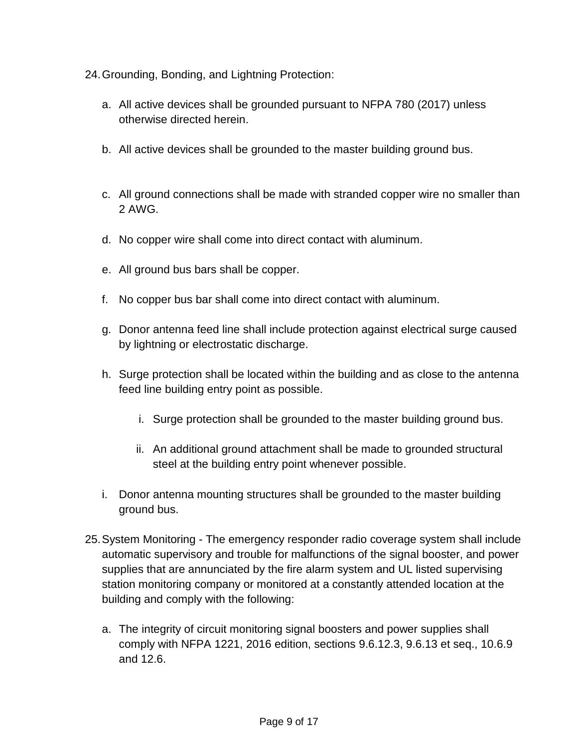- 24.Grounding, Bonding, and Lightning Protection:
	- a. All active devices shall be grounded pursuant to NFPA 780 (2017) unless otherwise directed herein.
	- b. All active devices shall be grounded to the master building ground bus.
	- c. All ground connections shall be made with stranded copper wire no smaller than 2 AWG.
	- d. No copper wire shall come into direct contact with aluminum.
	- e. All ground bus bars shall be copper.
	- f. No copper bus bar shall come into direct contact with aluminum.
	- g. Donor antenna feed line shall include protection against electrical surge caused by lightning or electrostatic discharge.
	- h. Surge protection shall be located within the building and as close to the antenna feed line building entry point as possible.
		- i. Surge protection shall be grounded to the master building ground bus.
		- ii. An additional ground attachment shall be made to grounded structural steel at the building entry point whenever possible.
	- i. Donor antenna mounting structures shall be grounded to the master building ground bus.
- 25.System Monitoring The emergency responder radio coverage system shall include automatic supervisory and trouble for malfunctions of the signal booster, and power supplies that are annunciated by the fire alarm system and UL listed supervising station monitoring company or monitored at a constantly attended location at the building and comply with the following:
	- a. The integrity of circuit monitoring signal boosters and power supplies shall comply with NFPA 1221, 2016 edition, sections 9.6.12.3, 9.6.13 et seq., 10.6.9 and 12.6.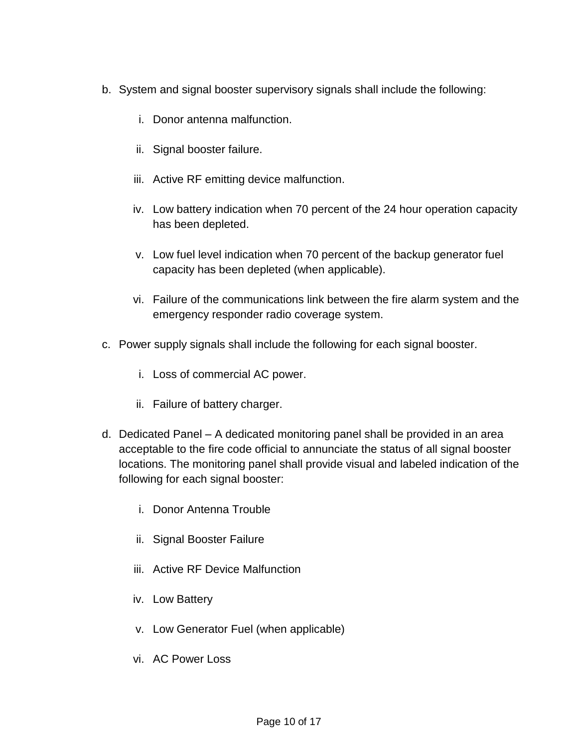- b. System and signal booster supervisory signals shall include the following:
	- i. Donor antenna malfunction.
	- ii. Signal booster failure.
	- iii. Active RF emitting device malfunction.
	- iv. Low battery indication when 70 percent of the 24 hour operation capacity has been depleted.
	- v. Low fuel level indication when 70 percent of the backup generator fuel capacity has been depleted (when applicable).
	- vi. Failure of the communications link between the fire alarm system and the emergency responder radio coverage system.
- c. Power supply signals shall include the following for each signal booster.
	- i. Loss of commercial AC power.
	- ii. Failure of battery charger.
- d. Dedicated Panel A dedicated monitoring panel shall be provided in an area acceptable to the fire code official to annunciate the status of all signal booster locations. The monitoring panel shall provide visual and labeled indication of the following for each signal booster:
	- i. Donor Antenna Trouble
	- ii. Signal Booster Failure
	- iii. Active RF Device Malfunction
	- iv. Low Battery
	- v. Low Generator Fuel (when applicable)
	- vi. AC Power Loss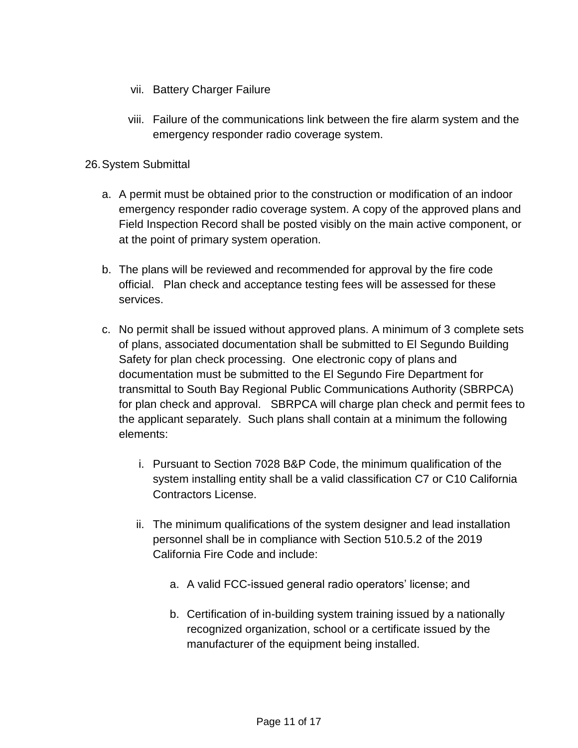- vii. Battery Charger Failure
- viii. Failure of the communications link between the fire alarm system and the emergency responder radio coverage system.
- 26.System Submittal
	- a. A permit must be obtained prior to the construction or modification of an indoor emergency responder radio coverage system. A copy of the approved plans and Field Inspection Record shall be posted visibly on the main active component, or at the point of primary system operation.
	- b. The plans will be reviewed and recommended for approval by the fire code official. Plan check and acceptance testing fees will be assessed for these services.
	- c. No permit shall be issued without approved plans. A minimum of 3 complete sets of plans, associated documentation shall be submitted to El Segundo Building Safety for plan check processing. One electronic copy of plans and documentation must be submitted to the El Segundo Fire Department for transmittal to South Bay Regional Public Communications Authority (SBRPCA) for plan check and approval. SBRPCA will charge plan check and permit fees to the applicant separately. Such plans shall contain at a minimum the following elements:
		- i. Pursuant to Section 7028 B&P Code, the minimum qualification of the system installing entity shall be a valid classification C7 or C10 California Contractors License.
		- ii. The minimum qualifications of the system designer and lead installation personnel shall be in compliance with Section 510.5.2 of the 2019 California Fire Code and include:
			- a. A valid FCC-issued general radio operators' license; and
			- b. Certification of in-building system training issued by a nationally recognized organization, school or a certificate issued by the manufacturer of the equipment being installed.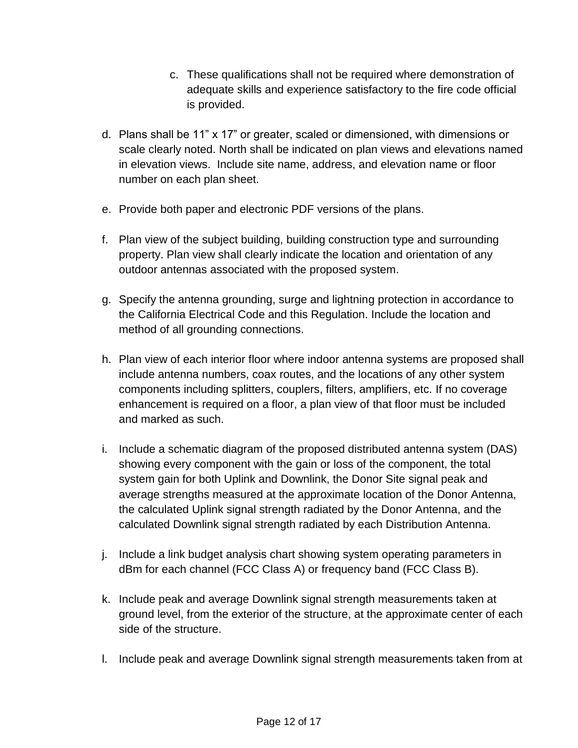- c. These qualifications shall not be required where demonstration of adequate skills and experience satisfactory to the fire code official is provided.
- d. Plans shall be 11" x 17" or greater, scaled or dimensioned, with dimensions or scale clearly noted. North shall be indicated on plan views and elevations named in elevation views. Include site name, address, and elevation name or floor number on each plan sheet.
- e. Provide both paper and electronic PDF versions of the plans.
- f. Plan view of the subject building, building construction type and surrounding property. Plan view shall clearly indicate the location and orientation of any outdoor antennas associated with the proposed system.
- g. Specify the antenna grounding, surge and lightning protection in accordance to the California Electrical Code and this Regulation. Include the location and method of all grounding connections.
- h. Plan view of each interior floor where indoor antenna systems are proposed shall include antenna numbers, coax routes, and the locations of any other system components including splitters, couplers, filters, amplifiers, etc. If no coverage enhancement is required on a floor, a plan view of that floor must be included and marked as such.
- i. Include a schematic diagram of the proposed distributed antenna system (DAS) showing every component with the gain or loss of the component, the total system gain for both Uplink and Downlink, the Donor Site signal peak and average strengths measured at the approximate location of the Donor Antenna, the calculated Uplink signal strength radiated by the Donor Antenna, and the calculated Downlink signal strength radiated by each Distribution Antenna.
- j. Include a link budget analysis chart showing system operating parameters in dBm for each channel (FCC Class A) or frequency band (FCC Class B).
- k. Include peak and average Downlink signal strength measurements taken at ground level, from the exterior of the structure, at the approximate center of each side of the structure.
- l. Include peak and average Downlink signal strength measurements taken from at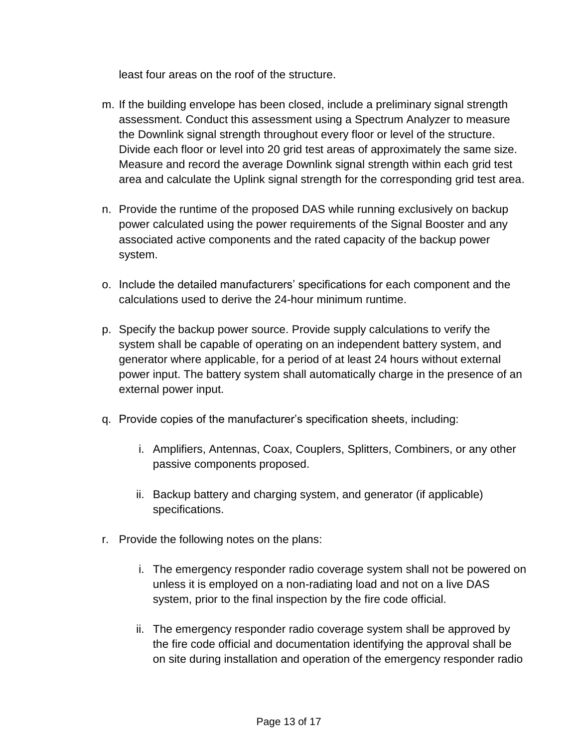least four areas on the roof of the structure.

- m. If the building envelope has been closed, include a preliminary signal strength assessment. Conduct this assessment using a Spectrum Analyzer to measure the Downlink signal strength throughout every floor or level of the structure. Divide each floor or level into 20 grid test areas of approximately the same size. Measure and record the average Downlink signal strength within each grid test area and calculate the Uplink signal strength for the corresponding grid test area.
- n. Provide the runtime of the proposed DAS while running exclusively on backup power calculated using the power requirements of the Signal Booster and any associated active components and the rated capacity of the backup power system.
- o. Include the detailed manufacturers' specifications for each component and the calculations used to derive the 24-hour minimum runtime.
- p. Specify the backup power source. Provide supply calculations to verify the system shall be capable of operating on an independent battery system, and generator where applicable, for a period of at least 24 hours without external power input. The battery system shall automatically charge in the presence of an external power input.
- q. Provide copies of the manufacturer's specification sheets, including:
	- i. Amplifiers, Antennas, Coax, Couplers, Splitters, Combiners, or any other passive components proposed.
	- ii. Backup battery and charging system, and generator (if applicable) specifications.
- r. Provide the following notes on the plans:
	- i. The emergency responder radio coverage system shall not be powered on unless it is employed on a non-radiating load and not on a live DAS system, prior to the final inspection by the fire code official.
	- ii. The emergency responder radio coverage system shall be approved by the fire code official and documentation identifying the approval shall be on site during installation and operation of the emergency responder radio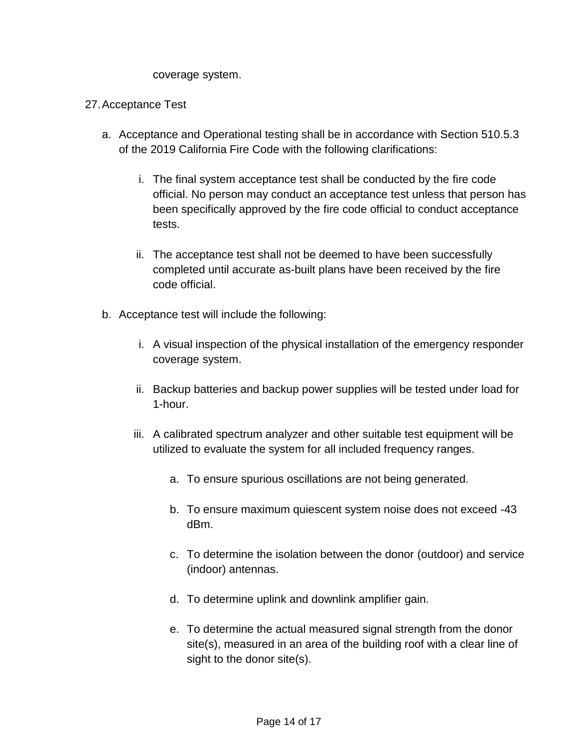#### coverage system.

#### 27.Acceptance Test

- a. Acceptance and Operational testing shall be in accordance with Section 510.5.3 of the 2019 California Fire Code with the following clarifications:
	- i. The final system acceptance test shall be conducted by the fire code official. No person may conduct an acceptance test unless that person has been specifically approved by the fire code official to conduct acceptance tests.
	- ii. The acceptance test shall not be deemed to have been successfully completed until accurate as-built plans have been received by the fire code official.
- b. Acceptance test will include the following:
	- i. A visual inspection of the physical installation of the emergency responder coverage system.
	- ii. Backup batteries and backup power supplies will be tested under load for 1-hour.
	- iii. A calibrated spectrum analyzer and other suitable test equipment will be utilized to evaluate the system for all included frequency ranges.
		- a. To ensure spurious oscillations are not being generated.
		- b. To ensure maximum quiescent system noise does not exceed -43 dBm.
		- c. To determine the isolation between the donor (outdoor) and service (indoor) antennas.
		- d. To determine uplink and downlink amplifier gain.
		- e. To determine the actual measured signal strength from the donor site(s), measured in an area of the building roof with a clear line of sight to the donor site(s).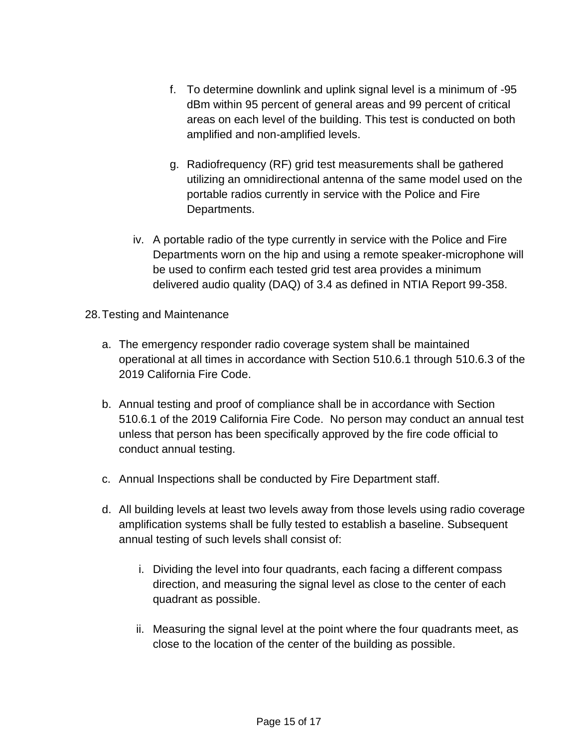- f. To determine downlink and uplink signal level is a minimum of -95 dBm within 95 percent of general areas and 99 percent of critical areas on each level of the building. This test is conducted on both amplified and non-amplified levels.
- g. Radiofrequency (RF) grid test measurements shall be gathered utilizing an omnidirectional antenna of the same model used on the portable radios currently in service with the Police and Fire Departments.
- iv. A portable radio of the type currently in service with the Police and Fire Departments worn on the hip and using a remote speaker-microphone will be used to confirm each tested grid test area provides a minimum delivered audio quality (DAQ) of 3.4 as defined in NTIA Report 99-358.
- 28.Testing and Maintenance
	- a. The emergency responder radio coverage system shall be maintained operational at all times in accordance with Section 510.6.1 through 510.6.3 of the 2019 California Fire Code.
	- b. Annual testing and proof of compliance shall be in accordance with Section 510.6.1 of the 2019 California Fire Code. No person may conduct an annual test unless that person has been specifically approved by the fire code official to conduct annual testing.
	- c. Annual Inspections shall be conducted by Fire Department staff.
	- d. All building levels at least two levels away from those levels using radio coverage amplification systems shall be fully tested to establish a baseline. Subsequent annual testing of such levels shall consist of:
		- i. Dividing the level into four quadrants, each facing a different compass direction, and measuring the signal level as close to the center of each quadrant as possible.
		- ii. Measuring the signal level at the point where the four quadrants meet, as close to the location of the center of the building as possible.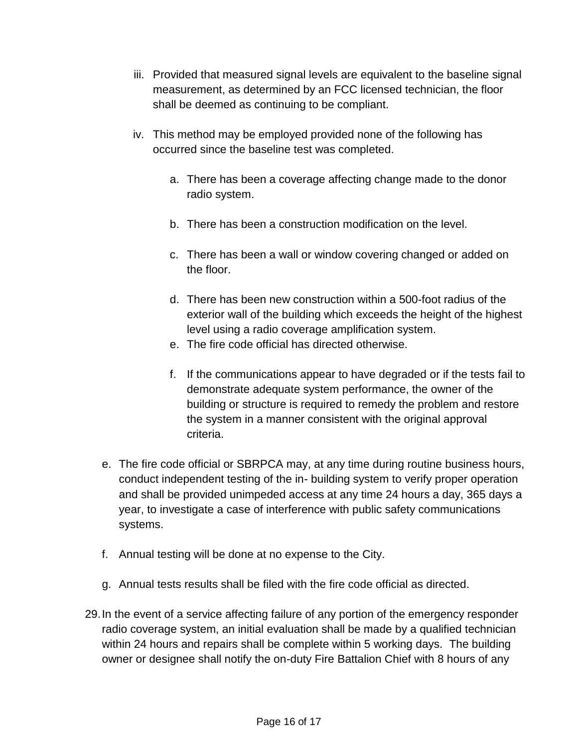- iii. Provided that measured signal levels are equivalent to the baseline signal measurement, as determined by an FCC licensed technician, the floor shall be deemed as continuing to be compliant.
- iv. This method may be employed provided none of the following has occurred since the baseline test was completed.
	- a. There has been a coverage affecting change made to the donor radio system.
	- b. There has been a construction modification on the level.
	- c. There has been a wall or window covering changed or added on the floor.
	- d. There has been new construction within a 500-foot radius of the exterior wall of the building which exceeds the height of the highest level using a radio coverage amplification system.
	- e. The fire code official has directed otherwise.
	- f. If the communications appear to have degraded or if the tests fail to demonstrate adequate system performance, the owner of the building or structure is required to remedy the problem and restore the system in a manner consistent with the original approval criteria.
- e. The fire code official or SBRPCA may, at any time during routine business hours, conduct independent testing of the in- building system to verify proper operation and shall be provided unimpeded access at any time 24 hours a day, 365 days a year, to investigate a case of interference with public safety communications systems.
- f. Annual testing will be done at no expense to the City.
- g. Annual tests results shall be filed with the fire code official as directed.
- 29.In the event of a service affecting failure of any portion of the emergency responder radio coverage system, an initial evaluation shall be made by a qualified technician within 24 hours and repairs shall be complete within 5 working days. The building owner or designee shall notify the on-duty Fire Battalion Chief with 8 hours of any